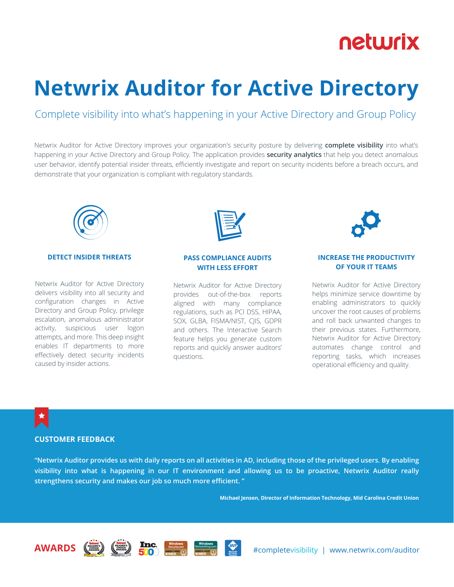# netwrix

# **Netwrix Auditor for Active Directory**

Complete visibility into what's happening in your Active Directory and Group Policy

Netwrix Auditor for Active Directory improves your organization's security posture by delivering **complete visibility** into what's happening in your Active Directory and Group Policy. The application provides **security analytics** that help you detect anomalous user behavior, identify potential insider threats, efficiently investigate and report on security incidents before a breach occurs, and demonstrate that your organization is compliant with regulatory standards.



### **DETECT INSIDER THREATS**

Netwrix Auditor for Active Directory delivers visibility into all security and configuration changes in Active Directory and Group Policy, privilege escalation, anomalous administrator activity, suspicious user logon attempts, and more. This deep insight enables IT departments to more effectively detect security incidents caused by insider actions.



## **PASS COMPLIANCE AUDITS WITH LESS EFFORT**

Netwrix Auditor for Active Directory provides out-of-the-box reports aligned with many compliance regulations, such as PCI DSS, HIPAA, SOX, GLBA, FISMA/NIST, CJIS, GDPR and others. The Interactive Search feature helps you generate custom reports and quickly answer auditors' questions.



## **INCREASE THE PRODUCTIVITY OF YOUR IT TEAMS**

Netwrix Auditor for Active Directory helps minimize service downtime by enabling administrators to quickly uncover the root causes of problems and roll back unwanted changes to their previous states. Furthermore, Netwrix Auditor for Active Directory automates change control and reporting tasks, which increases operational efficiency and quality.

## ★

## **CUSTOMER FEEDBACK**

**"Netwrix Auditor provides us with daily reports on all activities in AD, including those of the privileged users. By enabling visibility into what is happening in our IT environment and allowing us to be proactive, Netwrix Auditor really strengthens security and makes our job so much more efficient. "**

**Michael Jensen, Director of Information Technology, Mid Carolina Credit Union**